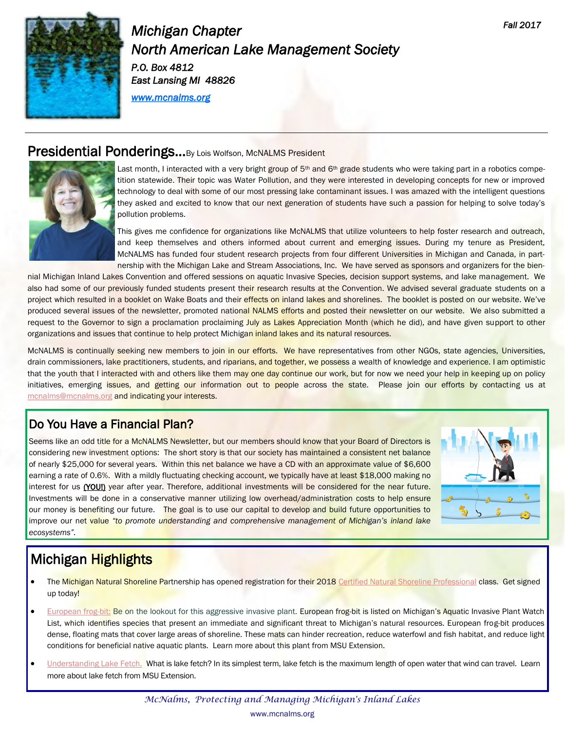

### *Michigan Chapter North American Lake Management Society P.O. Box 4812 East Lansing MI 48826*

*[www.mcnalms.org](http://www.mcnalms.org)*

#### Presidential Ponderings... By Lois Wolfson, McNALMS President



Last month, I interacted with a very bright group of  $5<sup>th</sup>$  and  $6<sup>th</sup>$  grade students who were taking part in a robotics competition statewide. Their topic was Water Pollution, and they were interested in developing concepts for new or improved technology to deal with some of our most pressing lake contaminant issues. I was amazed with the intelligent questions they asked and excited to know that our next generation of students have such a passion for helping to solve today's pollution problems.

This gives me confidence for organizations like McNALMS that utilize volunteers to help foster research and outreach, and keep themselves and others informed about current and emerging issues. During my tenure as President, McNALMS has funded four student research projects from four different Universities in Michigan and Canada, in partnership with the Michigan Lake and Stream Associations, Inc. We have served as sponsors and organizers for the bien-

nial Michigan Inland Lakes Convention and offered sessions on aquatic Invasive Species, decision support systems, and lake management. We also had some of our previously funded students present their research results at the Convention. We advised several graduate students on a project which resulted in a booklet on Wake Boats and their effects on inland lakes and shorelines. The booklet is posted on our website. We've produced several issues of the newsletter, promoted national NALMS efforts and posted their newsletter on our website. We also submitted a request to the Governor to sign a proclamation proclaiming July as Lakes Appreciation Month (which he did), and have given support to other organizations and issues that continue to help protect Michigan inland lakes and its natural resources.

McNALMS is continually seeking new members to join in our efforts. We have representatives from other NGOs, state agencies, Universities, drain commissioners, lake practitioners, students, and riparians, and together, we possess a wealth of knowledge and experience. I am optimistic that the youth that I interacted with and others like them may one day continue our work, but for now we need your help in keeping up on policy initiatives, emerging issues, and getting our information out to people across the state. Please join our efforts by contacting us at [mcnalms@mcnalms.org](mailto:mcnalms@mcnalms.org) and indicating your interests.

#### Do You Have a Financial Plan?

Seems like an odd title for a McNALMS Newsletter, but our members should know that your Board of Directors is considering new investment options: The short story is that our society has maintained a consistent net balance of nearly \$25,000 for several years. Within this net balance we have a CD with an approximate value of \$6,600 earning a rate of 0.6%. With a mildly fluctuating checking account, we typically have at least \$18,000 making no interest for us (YOU!) year after year. Therefore, additional investments will be considered for the near future. Investments will be done in a conservative manner utilizing low overhead/administration costs to help ensure our money is benefiting our future. The goal is to use our capital to develop and build future opportunities to improve our net value *"to promote understanding and comprehensive management of Michigan's inland lake ecosystems".* 



## **Michigan Highlights**

- The Michigan Natural Shoreline Partnership has opened registration for their 2018 [Certified Natural Shoreline Professional](http://www.mishorelinepartnership.org/uploads/4/6/8/6/46869113/mcnsp_reg_form_2018.pdf) class. Get signed up today!
- [European frog-bit:](http://msue.anr.msu.edu/news/european_frog_bit_be_on_the_lookout_for_this_aggressive_invasive_plant) Be on the lookout for this aggressive invasive plant. European frog-bit is listed on Michigan's Aquatic Invasive Plant Watch List, which identifies species that present an immediate and significant threat to Michigan's natural resources. European frog-bit produces dense, floating mats that cover large areas of shoreline. These mats can hinder recreation, reduce waterfowl and fish habitat, and reduce light conditions for beneficial native aquatic plants. Learn more about this plant from MSU Extension.
- [Understanding Lake Fetch.](http://msue.anr.msu.edu/news/understanding_lake_fetch) What is lake fetch? In its simplest term, lake fetch is the maximum length of open water that wind can travel. Learn more about lake fetch from MSU Extension.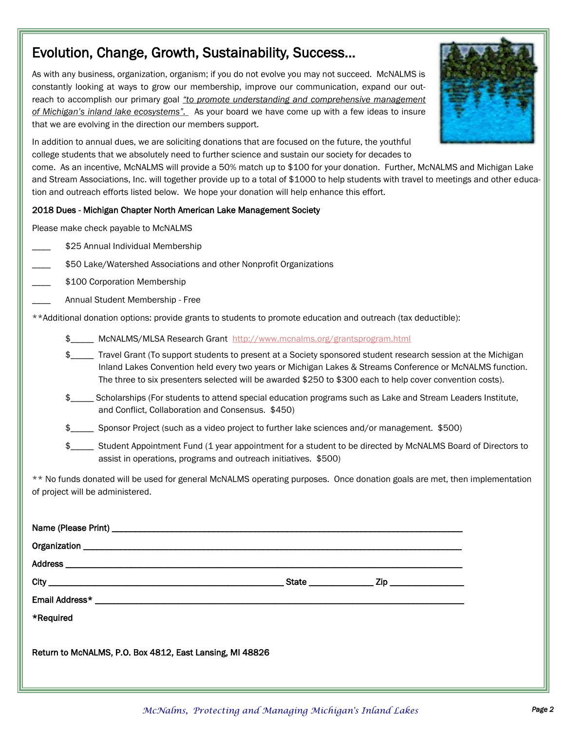### Evolution, Change, Growth, Sustainability, Success…

As with any business, organization, organism; if you do not evolve you may not succeed. McNALMS is constantly looking at ways to grow our membership, improve our communication, expand our outreach to accomplish our primary goal *"to promote understanding and comprehensive management of Michigan's inland lake ecosystems".* As your board we have come up with a few ideas to insure that we are evolving in the direction our members support.



In addition to annual dues, we are soliciting donations that are focused on the future, the youthful college students that we absolutely need to further science and sustain our society for decades to

come. As an incentive, McNALMS will provide a 50% match up to \$100 for your donation. Further, McNALMS and Michigan Lake and Stream Associations, Inc. will together provide up to a total of \$1000 to help students with travel to meetings and other education and outreach efforts listed below. We hope your donation will help enhance this effort.

#### 2018 Dues - Michigan Chapter North American Lake Management Society

Please make check payable to McNALMS

- \$25 Annual Individual Membership
- \$50 Lake/Watershed Associations and other Nonprofit Organizations
- \$100 Corporation Membership
- Annual Student Membership Free
- \*\*Additional donation options: provide grants to students to promote education and outreach (tax deductible):
	- \$\_\_\_\_\_ McNALMS/MLSA Research Grant <http://www.mcnalms.org/grantsprogram.html>
	- \$\_\_\_\_\_ Travel Grant (To support students to present at a Society sponsored student research session at the Michigan Inland Lakes Convention held every two years or Michigan Lakes & Streams Conference or McNALMS function. The three to six presenters selected will be awarded \$250 to \$300 each to help cover convention costs).
	- \$\_\_\_\_\_ Scholarships (For students to attend special education programs such as Lake and Stream Leaders Institute, and Conflict, Collaboration and Consensus. \$450)
	- \$\_\_\_\_\_ Sponsor Project (such as a video project to further lake sciences and/or management. \$500)
	- \$\_\_\_\_\_ Student Appointment Fund (1 year appointment for a student to be directed by McNALMS Board of Directors to assist in operations, programs and outreach initiatives. \$500)

\*\* No funds donated will be used for general McNALMS operating purposes. Once donation goals are met, then implementation of project will be administered.

| *Required                                                |  |
|----------------------------------------------------------|--|
|                                                          |  |
| Return to McNALMS, P.O. Box 4812, East Lansing, MI 48826 |  |
|                                                          |  |
|                                                          |  |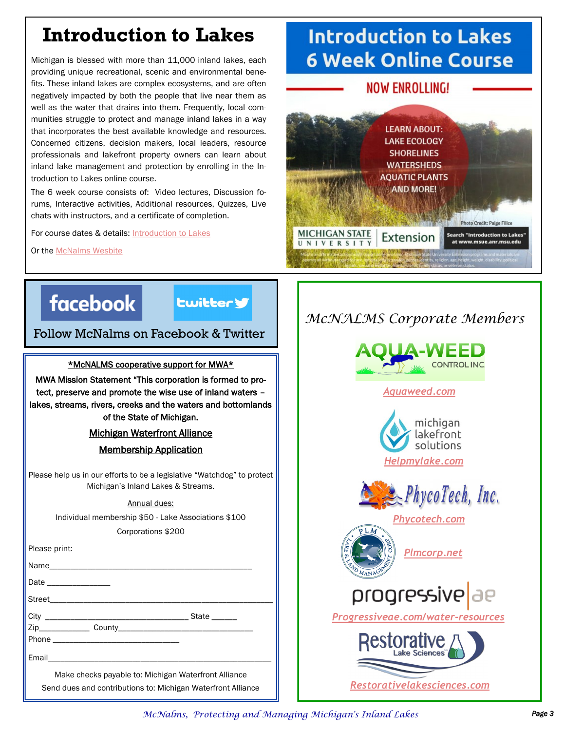# **Introduction to Lakes**

Michigan is blessed with more than 11,000 inland lakes, each providing unique recreational, scenic and environmental benefits. These inland lakes are complex ecosystems, and are often negatively impacted by both the people that live near them as well as the water that drains into them. Frequently, local communities struggle to protect and manage inland lakes in a way that incorporates the best available knowledge and resources. Concerned citizens, decision makers, local leaders, resource professionals and lakefront property owners can learn about inland lake management and protection by enrolling in the Introduction to Lakes online course.

The 6 week course consists of: Video lectures, Discussion forums, Interactive activities, Additional resources, Quizzes, Live chats with instructors, and a certificate of completion.

For course dates & details: [Introduction to Lakes](http://msue.anr.msu.edu/program/info/introduction_to_lakes_online)

Or the [McNalms Wesbite](http://www.mcnalms.org/)

# **facebook**

**Lwittery** 

#### Follow McNalms on Facebook & Twitter

#### \*McNALMS cooperative support for MWA\*

MWA Mission Statement "This corporation is formed to protect, preserve and promote the wise use of inland waters – lakes, streams, rivers, creeks and the waters and bottomlands of the State of Michigan.

#### Michigan Waterfront Alliance

#### Membership Application

Please help us in our efforts to be a legislative "Watchdog" to protect Michigan's Inland Lakes & Streams.

#### Annual dues: Individual membership \$50 - Lake Associations \$100

Corporations \$200

| Please print:                                        |  |
|------------------------------------------------------|--|
|                                                      |  |
| Date ________________                                |  |
|                                                      |  |
|                                                      |  |
|                                                      |  |
|                                                      |  |
|                                                      |  |
| Make checks payable to: Michigan Waterfront Alliance |  |

Send dues and contributions to: Michigan Waterfront Alliance

# **Introduction to Lakes 6 Week Online Course**

### **NOW ENROLLING!**



# *McNALMS Corporate Members*



*McNalms, Protecting and Managing Michigan's Inland Lakes Page 3*